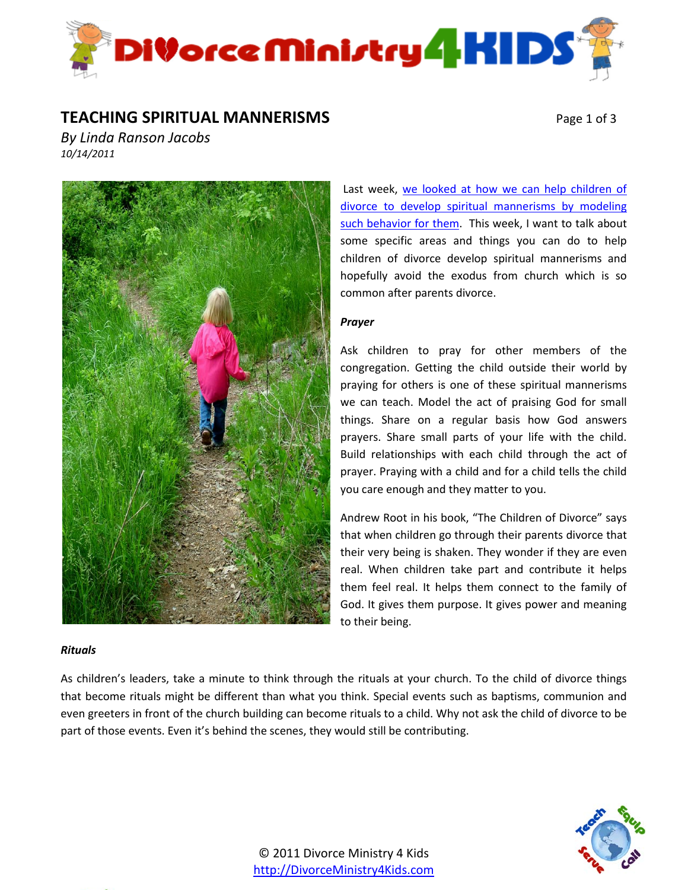

### **TEACHING SPIRITUAL MANNERISMS** Page 1 of 3

*By Linda Ranson Jacobs 10/14/2011*



#### *Rituals*

Last week, we looked at how we can help children of [divorce to develop spiritual mannerisms by modeling](http://wp.me/p1EU4t-8t)  [such behavior for them.](http://wp.me/p1EU4t-8t) This week, I want to talk about some specific areas and things you can do to help children of divorce develop spiritual mannerisms and hopefully avoid the exodus from church which is so common after parents divorce.

### *Prayer*

Ask children to pray for other members of the congregation. Getting the child outside their world by praying for others is one of these spiritual mannerisms we can teach. Model the act of praising God for small things. Share on a regular basis how God answers prayers. Share small parts of your life with the child. Build relationships with each child through the act of prayer. Praying with a child and for a child tells the child you care enough and they matter to you.

Andrew Root in his book, "The Children of Divorce" says that when children go through their parents divorce that their very being is shaken. They wonder if they are even real. When children take part and contribute it helps them feel real. It helps them connect to the family of God. It gives them purpose. It gives power and meaning to their being.

As children's leaders, take a minute to think through the rituals at your church. To the child of divorce things that become rituals might be different than what you think. Special events such as baptisms, communion and even greeters in front of the church building can become rituals to a child. Why not ask the child of divorce to be part of those events. Even it's behind the scenes, they would still be contributing.

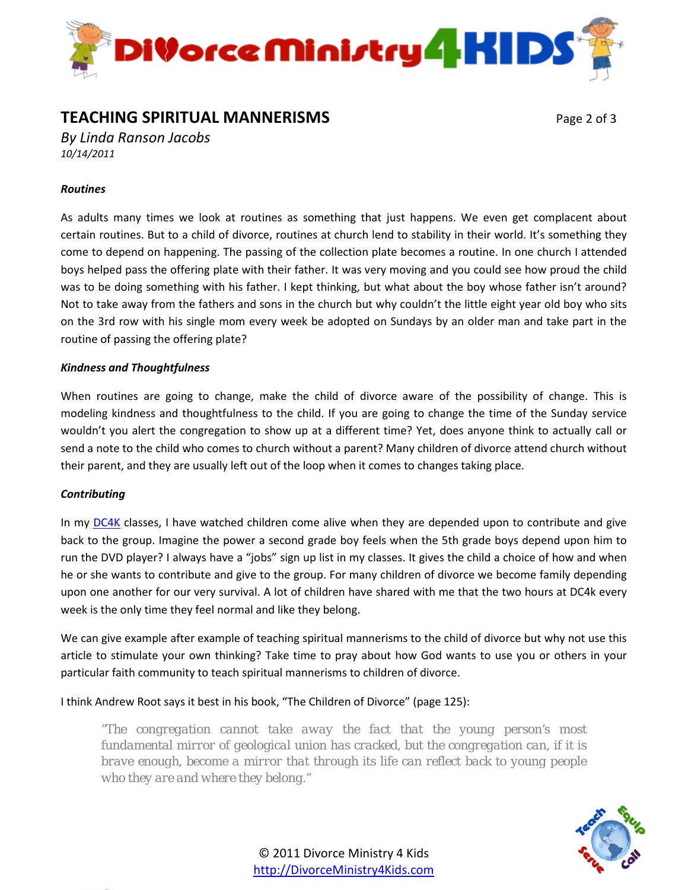

## **TEACHING SPIRITUAL MANNERISMS** Page 2 of 3

*By Linda Ranson Jacobs 10/14/2011*

### *Routines*

As adults many times we look at routines as something that just happens. We even get complacent about certain routines. But to a child of divorce, routines at church lend to stability in their world. It's something they come to depend on happening. The passing of the collection plate becomes a routine. In one church I attended boys helped pass the offering plate with their father. It was very moving and you could see how proud the child was to be doing something with his father. I kept thinking, but what about the boy whose father isn't around? Not to take away from the fathers and sons in the church but why couldn't the little eight year old boy who sits on the 3rd row with his single mom every week be adopted on Sundays by an older man and take part in the routine of passing the offering plate?

#### *Kindness and Thoughtfulness*

When routines are going to change, make the child of divorce aware of the possibility of change. This is modeling kindness and thoughtfulness to the child. If you are going to change the time of the Sunday service wouldn't you alert the congregation to show up at a different time? Yet, does anyone think to actually call or send a note to the child who comes to church without a parent? Many children of divorce attend church without their parent, and they are usually left out of the loop when it comes to changes taking place.

#### *Contributing*

In my [DC4K](http://divorceministry4kids.com/2011/divorce-care-4-kids-dc4k/) classes, I have watched children come alive when they are depended upon to contribute and give back to the group. Imagine the power a second grade boy feels when the 5th grade boys depend upon him to run the DVD player? I always have a "jobs" sign up list in my classes. It gives the child a choice of how and when he or she wants to contribute and give to the group. For many children of divorce we become family depending upon one another for our very survival. A lot of children have shared with me that the two hours at DC4k every week is the only time they feel normal and like they belong.

We can give example after example of teaching spiritual mannerisms to the child of divorce but why not use this article to stimulate your own thinking? Take time to pray about how God wants to use you or others in your particular faith community to teach spiritual mannerisms to children of divorce.

I think Andrew Root says it best in his book, "The Children of Divorce" (page 125):

*"The congregation cannot take away the fact that the young person's most fundamental mirror of geological union has cracked, but the congregation can, if it is brave enough, become a mirror that through its life can reflect back to young people who they are and where they belong."*